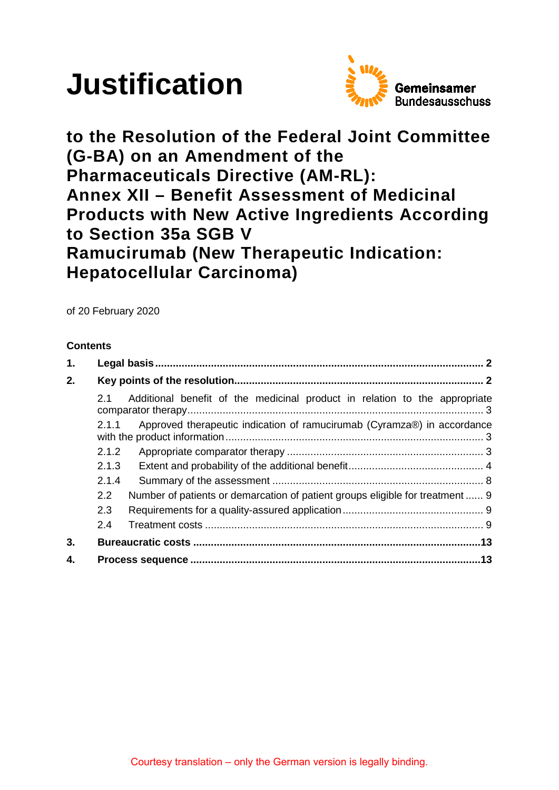# **Justification**



**to the Resolution of the Federal Joint Committee (G-BA) on an Amendment of the Pharmaceuticals Directive (AM-RL): Annex XII – Benefit Assessment of Medicinal Products with New Active Ingredients According to Section 35a SGB V Ramucirumab (New Therapeutic Indication: Hepatocellular Carcinoma)**

of 20 February 2020

# **Contents**

| 1.                                                                               |       |                                                                               |  |  |  |
|----------------------------------------------------------------------------------|-------|-------------------------------------------------------------------------------|--|--|--|
| 2.                                                                               |       |                                                                               |  |  |  |
|                                                                                  | 2.1   | Additional benefit of the medicinal product in relation to the appropriate    |  |  |  |
| Approved therapeutic indication of ramucirumab (Cyramza®) in accordance<br>2.1.1 |       |                                                                               |  |  |  |
|                                                                                  | 2.1.2 |                                                                               |  |  |  |
|                                                                                  | 2.1.3 |                                                                               |  |  |  |
|                                                                                  | 2.1.4 |                                                                               |  |  |  |
|                                                                                  | 2.2   | Number of patients or demarcation of patient groups eligible for treatment  9 |  |  |  |
|                                                                                  | 2.3   |                                                                               |  |  |  |
|                                                                                  | 2.4   |                                                                               |  |  |  |
| 3.                                                                               |       |                                                                               |  |  |  |
| 4.                                                                               |       |                                                                               |  |  |  |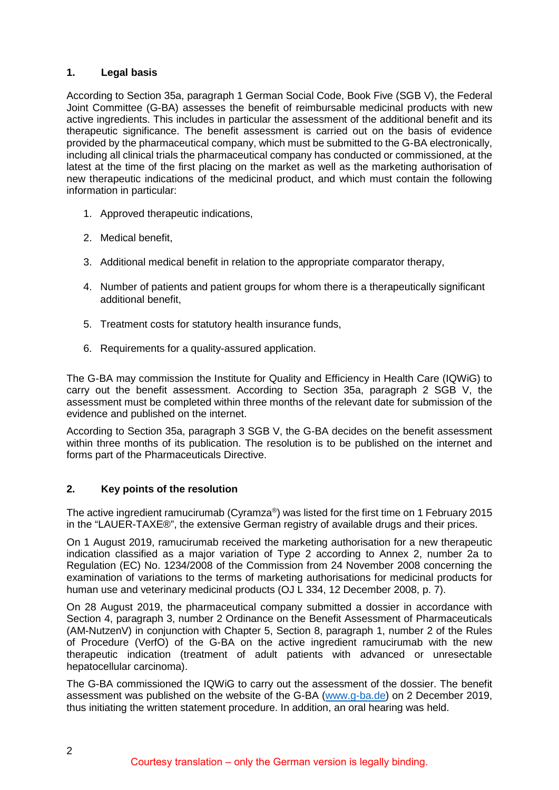# <span id="page-1-0"></span>**1. Legal basis**

According to Section 35a, paragraph 1 German Social Code, Book Five (SGB V), the Federal Joint Committee (G-BA) assesses the benefit of reimbursable medicinal products with new active ingredients. This includes in particular the assessment of the additional benefit and its therapeutic significance. The benefit assessment is carried out on the basis of evidence provided by the pharmaceutical company, which must be submitted to the G-BA electronically, including all clinical trials the pharmaceutical company has conducted or commissioned, at the latest at the time of the first placing on the market as well as the marketing authorisation of new therapeutic indications of the medicinal product, and which must contain the following information in particular:

- 1. Approved therapeutic indications,
- 2. Medical benefit,
- 3. Additional medical benefit in relation to the appropriate comparator therapy,
- 4. Number of patients and patient groups for whom there is a therapeutically significant additional benefit,
- 5. Treatment costs for statutory health insurance funds,
- 6. Requirements for a quality-assured application.

The G-BA may commission the Institute for Quality and Efficiency in Health Care (IQWiG) to carry out the benefit assessment. According to Section 35a, paragraph 2 SGB V, the assessment must be completed within three months of the relevant date for submission of the evidence and published on the internet.

According to Section 35a, paragraph 3 SGB V, the G-BA decides on the benefit assessment within three months of its publication. The resolution is to be published on the internet and forms part of the Pharmaceuticals Directive.

# <span id="page-1-1"></span>**2. Key points of the resolution**

The active ingredient ramucirumab (Cyramza®) was listed for the first time on 1 February 2015 in the "LAUER-TAXE®", the extensive German registry of available drugs and their prices.

On 1 August 2019, ramucirumab received the marketing authorisation for a new therapeutic indication classified as a major variation of Type 2 according to Annex 2, number 2a to Regulation (EC) No. 1234/2008 of the Commission from 24 November 2008 concerning the examination of variations to the terms of marketing authorisations for medicinal products for human use and veterinary medicinal products (OJ L 334, 12 December 2008, p. 7).

On 28 August 2019, the pharmaceutical company submitted a dossier in accordance with Section 4, paragraph 3, number 2 Ordinance on the Benefit Assessment of Pharmaceuticals (AM-NutzenV) in conjunction with Chapter 5, Section 8, paragraph 1, number 2 of the Rules of Procedure (VerfO) of the G-BA on the active ingredient ramucirumab with the new therapeutic indication (treatment of adult patients with advanced or unresectable hepatocellular carcinoma).

The G-BA commissioned the IQWiG to carry out the assessment of the dossier. The benefit assessment was published on the website of the G-BA [\(www.g-ba.de\)](http://www.g-ba.de/) on 2 December 2019, thus initiating the written statement procedure. In addition, an oral hearing was held.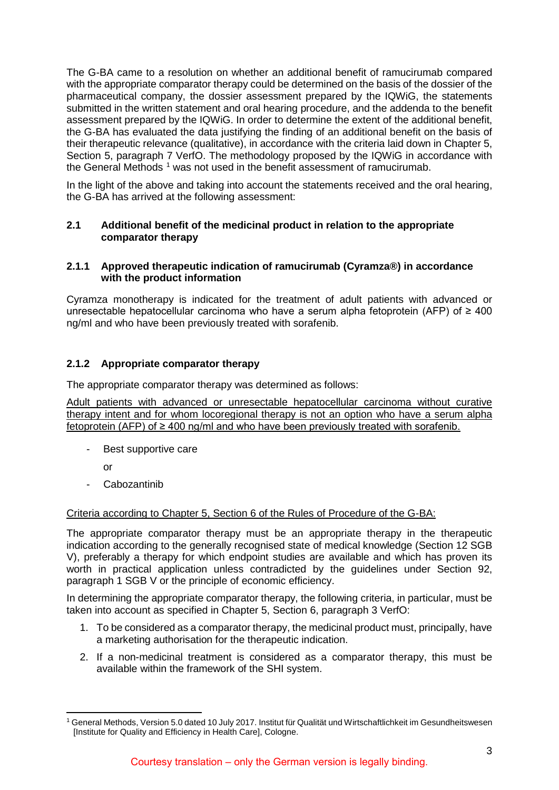The G-BA came to a resolution on whether an additional benefit of ramucirumab compared with the appropriate comparator therapy could be determined on the basis of the dossier of the pharmaceutical company, the dossier assessment prepared by the IQWiG, the statements submitted in the written statement and oral hearing procedure, and the addenda to the benefit assessment prepared by the IQWiG. In order to determine the extent of the additional benefit, the G-BA has evaluated the data justifying the finding of an additional benefit on the basis of their therapeutic relevance (qualitative), in accordance with the criteria laid down in Chapter 5, Section 5, paragraph 7 VerfO. The methodology proposed by the IQWiG in accordance with the General Methods<sup>[1](#page-2-3)</sup> was not used in the benefit assessment of ramucirumab.

In the light of the above and taking into account the statements received and the oral hearing, the G-BA has arrived at the following assessment:

# <span id="page-2-0"></span>**2.1 Additional benefit of the medicinal product in relation to the appropriate comparator therapy**

# <span id="page-2-1"></span>**2.1.1 Approved therapeutic indication of ramucirumab (Cyramza®) in accordance with the product information**

Cyramza monotherapy is indicated for the treatment of adult patients with advanced or unresectable hepatocellular carcinoma who have a serum alpha fetoprotein (AFP) of  $\geq 400$ ng/ml and who have been previously treated with sorafenib.

# <span id="page-2-2"></span>**2.1.2 Appropriate comparator therapy**

The appropriate comparator therapy was determined as follows:

Adult patients with advanced or unresectable hepatocellular carcinoma without curative therapy intent and for whom locoregional therapy is not an option who have a serum alpha fetoprotein (AFP) of ≥ 400 ng/ml and who have been previously treated with sorafenib.

- Best supportive care

or

**Cabozantinib** 

# Criteria according to Chapter 5, Section 6 of the Rules of Procedure of the G-BA:

The appropriate comparator therapy must be an appropriate therapy in the therapeutic indication according to the generally recognised state of medical knowledge (Section 12 SGB V), preferably a therapy for which endpoint studies are available and which has proven its worth in practical application unless contradicted by the guidelines under Section 92, paragraph 1 SGB V or the principle of economic efficiency.

In determining the appropriate comparator therapy, the following criteria, in particular, must be taken into account as specified in Chapter 5, Section 6, paragraph 3 VerfO:

- 1. To be considered as a comparator therapy, the medicinal product must, principally, have a marketing authorisation for the therapeutic indication.
- 2. If a non-medicinal treatment is considered as a comparator therapy, this must be available within the framework of the SHI system.

<span id="page-2-3"></span> <sup>1</sup> General Methods, Version 5.0 dated 10 July 2017. Institut für Qualität und Wirtschaftlichkeit im Gesundheitswesen [Institute for Quality and Efficiency in Health Care], Cologne.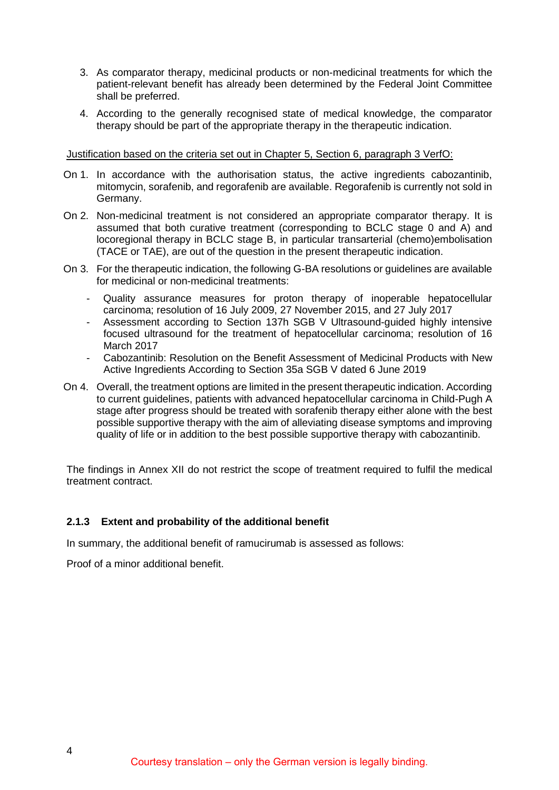- 3. As comparator therapy, medicinal products or non-medicinal treatments for which the patient-relevant benefit has already been determined by the Federal Joint Committee shall be preferred.
- 4. According to the generally recognised state of medical knowledge, the comparator therapy should be part of the appropriate therapy in the therapeutic indication.

#### Justification based on the criteria set out in Chapter 5, Section 6, paragraph 3 VerfO:

- On 1. In accordance with the authorisation status, the active ingredients cabozantinib, mitomycin, sorafenib, and regorafenib are available. Regorafenib is currently not sold in Germany.
- On 2. Non-medicinal treatment is not considered an appropriate comparator therapy. It is assumed that both curative treatment (corresponding to BCLC stage 0 and A) and locoregional therapy in BCLC stage B, in particular transarterial (chemo)embolisation (TACE or TAE), are out of the question in the present therapeutic indication.
- On 3. For the therapeutic indication, the following G-BA resolutions or guidelines are available for medicinal or non-medicinal treatments:
	- Quality assurance measures for proton therapy of inoperable hepatocellular carcinoma; resolution of 16 July 2009, 27 November 2015, and 27 July 2017
	- Assessment according to Section 137h SGB V Ultrasound-guided highly intensive focused ultrasound for the treatment of hepatocellular carcinoma; resolution of 16 March 2017
	- Cabozantinib: Resolution on the Benefit Assessment of Medicinal Products with New Active Ingredients According to Section 35a SGB V dated 6 June 2019
- On 4. Overall, the treatment options are limited in the present therapeutic indication. According to current guidelines, patients with advanced hepatocellular carcinoma in Child-Pugh A stage after progress should be treated with sorafenib therapy either alone with the best possible supportive therapy with the aim of alleviating disease symptoms and improving quality of life or in addition to the best possible supportive therapy with cabozantinib.

The findings in Annex XII do not restrict the scope of treatment required to fulfil the medical treatment contract.

# <span id="page-3-0"></span>**2.1.3 Extent and probability of the additional benefit**

In summary, the additional benefit of ramucirumab is assessed as follows:

Proof of a minor additional benefit.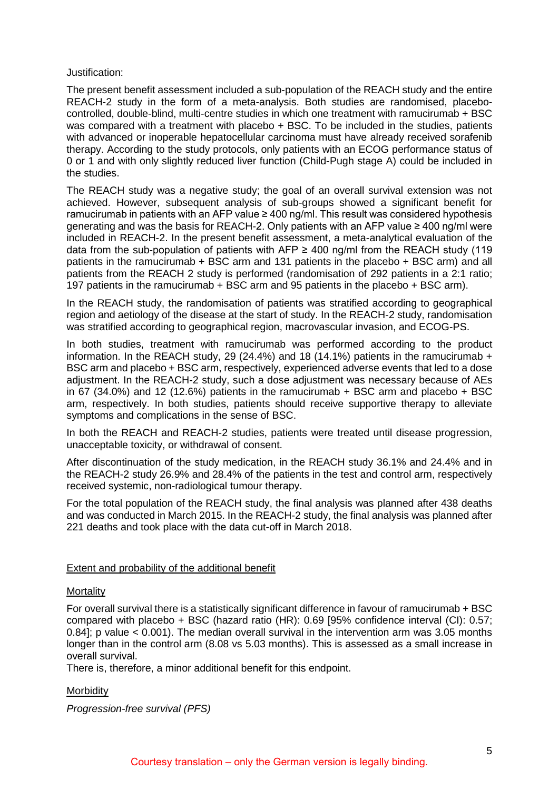#### Justification:

The present benefit assessment included a sub-population of the REACH study and the entire REACH-2 study in the form of a meta-analysis. Both studies are randomised, placebocontrolled, double-blind, multi-centre studies in which one treatment with ramucirumab + BSC was compared with a treatment with placebo + BSC. To be included in the studies, patients with advanced or inoperable hepatocellular carcinoma must have already received sorafenib therapy. According to the study protocols, only patients with an ECOG performance status of 0 or 1 and with only slightly reduced liver function (Child-Pugh stage A) could be included in the studies.

The REACH study was a negative study; the goal of an overall survival extension was not achieved. However, subsequent analysis of sub-groups showed a significant benefit for ramucirumab in patients with an AFP value  $\geq 400$  ng/ml. This result was considered hypothesis generating and was the basis for REACH-2. Only patients with an AFP value ≥ 400 ng/ml were included in REACH-2. In the present benefit assessment, a meta-analytical evaluation of the data from the sub-population of patients with AFP  $\geq$  400 ng/ml from the REACH study (119 patients in the ramucirumab + BSC arm and 131 patients in the placebo + BSC arm) and all patients from the REACH 2 study is performed (randomisation of 292 patients in a 2:1 ratio; 197 patients in the ramucirumab + BSC arm and 95 patients in the placebo + BSC arm).

In the REACH study, the randomisation of patients was stratified according to geographical region and aetiology of the disease at the start of study. In the REACH-2 study, randomisation was stratified according to geographical region, macrovascular invasion, and ECOG-PS.

In both studies, treatment with ramucirumab was performed according to the product information. In the REACH study, 29 (24.4%) and 18 (14.1%) patients in the ramucirumab  $+$ BSC arm and placebo + BSC arm, respectively, experienced adverse events that led to a dose adjustment. In the REACH-2 study, such a dose adjustment was necessary because of AEs in 67 (34.0%) and 12 (12.6%) patients in the ramucirumab  $+$  BSC arm and placebo  $+$  BSC arm, respectively. In both studies, patients should receive supportive therapy to alleviate symptoms and complications in the sense of BSC.

In both the REACH and REACH-2 studies, patients were treated until disease progression, unacceptable toxicity, or withdrawal of consent.

After discontinuation of the study medication, in the REACH study 36.1% and 24.4% and in the REACH-2 study 26.9% and 28.4% of the patients in the test and control arm, respectively received systemic, non-radiological tumour therapy.

For the total population of the REACH study, the final analysis was planned after 438 deaths and was conducted in March 2015. In the REACH-2 study, the final analysis was planned after 221 deaths and took place with the data cut-off in March 2018.

# Extent and probability of the additional benefit

#### **Mortality**

For overall survival there is a statistically significant difference in favour of ramucirumab + BSC compared with placebo + BSC (hazard ratio (HR): 0.69 [95% confidence interval (CI): 0.57; 0.84]; p value < 0.001). The median overall survival in the intervention arm was 3.05 months longer than in the control arm (8.08 vs 5.03 months). This is assessed as a small increase in overall survival.

There is, therefore, a minor additional benefit for this endpoint.

# **Morbidity**

*Progression-free survival (PFS)*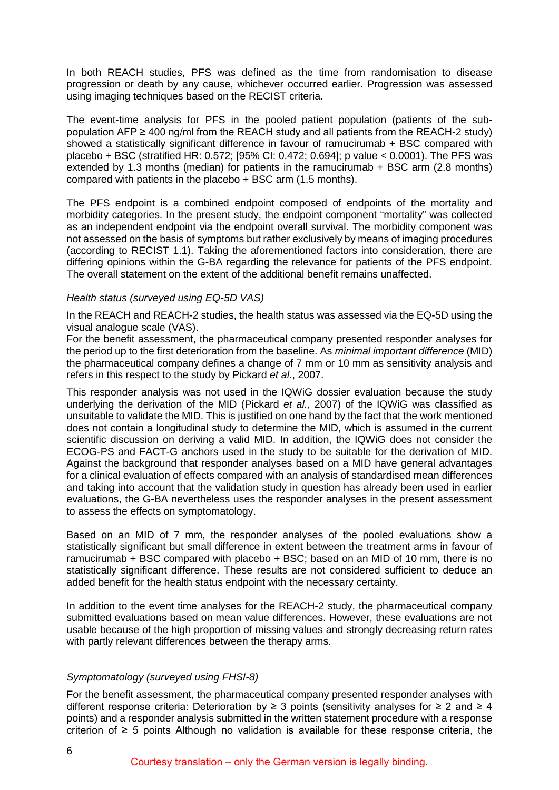In both REACH studies, PFS was defined as the time from randomisation to disease progression or death by any cause, whichever occurred earlier. Progression was assessed using imaging techniques based on the RECIST criteria.

The event-time analysis for PFS in the pooled patient population (patients of the subpopulation AFP ≥ 400 ng/ml from the REACH study and all patients from the REACH-2 study) showed a statistically significant difference in favour of ramucirumab + BSC compared with placebo + BSC (stratified HR: 0.572; [95% CI: 0.472; 0.694]; p value < 0.0001). The PFS was extended by 1.3 months (median) for patients in the ramucirumab + BSC arm (2.8 months) compared with patients in the placebo + BSC arm (1.5 months).

The PFS endpoint is a combined endpoint composed of endpoints of the mortality and morbidity categories. In the present study, the endpoint component "mortality" was collected as an independent endpoint via the endpoint overall survival. The morbidity component was not assessed on the basis of symptoms but rather exclusively by means of imaging procedures (according to RECIST 1.1). Taking the aforementioned factors into consideration, there are differing opinions within the G-BA regarding the relevance for patients of the PFS endpoint. The overall statement on the extent of the additional benefit remains unaffected.

# *Health status (surveyed using EQ-5D VAS)*

In the REACH and REACH-2 studies, the health status was assessed via the EQ-5D using the visual analogue scale (VAS).

For the benefit assessment, the pharmaceutical company presented responder analyses for the period up to the first deterioration from the baseline. As *minimal important difference* (MID) the pharmaceutical company defines a change of 7 mm or 10 mm as sensitivity analysis and refers in this respect to the study by Pickard *et al.*, 2007.

This responder analysis was not used in the IQWiG dossier evaluation because the study underlying the derivation of the MID (Pickard *et al.*, 2007) of the IQWiG was classified as unsuitable to validate the MID. This is justified on one hand by the fact that the work mentioned does not contain a longitudinal study to determine the MID, which is assumed in the current scientific discussion on deriving a valid MID. In addition, the IQWiG does not consider the ECOG-PS and FACT-G anchors used in the study to be suitable for the derivation of MID. Against the background that responder analyses based on a MID have general advantages for a clinical evaluation of effects compared with an analysis of standardised mean differences and taking into account that the validation study in question has already been used in earlier evaluations, the G-BA nevertheless uses the responder analyses in the present assessment to assess the effects on symptomatology.

Based on an MID of 7 mm, the responder analyses of the pooled evaluations show a statistically significant but small difference in extent between the treatment arms in favour of ramucirumab + BSC compared with placebo + BSC; based on an MID of 10 mm, there is no statistically significant difference. These results are not considered sufficient to deduce an added benefit for the health status endpoint with the necessary certainty.

In addition to the event time analyses for the REACH-2 study, the pharmaceutical company submitted evaluations based on mean value differences. However, these evaluations are not usable because of the high proportion of missing values and strongly decreasing return rates with partly relevant differences between the therapy arms.

# *Symptomatology (surveyed using FHSI-8)*

For the benefit assessment, the pharmaceutical company presented responder analyses with different response criteria: Deterioration by  $\geq 3$  points (sensitivity analyses for  $\geq 2$  and  $\geq 4$ points) and a responder analysis submitted in the written statement procedure with a response criterion of  $\geq$  5 points Although no validation is available for these response criteria, the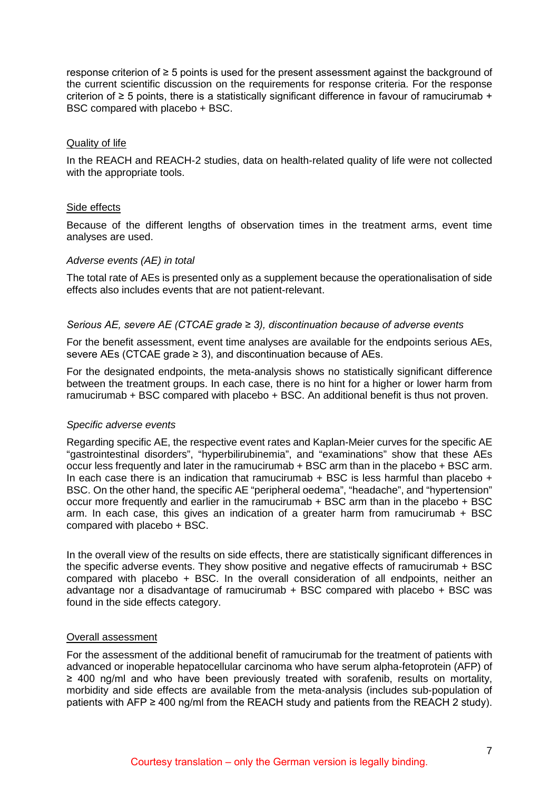response criterion of ≥ 5 points is used for the present assessment against the background of the current scientific discussion on the requirements for response criteria. For the response criterion of  $\geq$  5 points, there is a statistically significant difference in favour of ramucirumab + BSC compared with placebo + BSC.

# Quality of life

In the REACH and REACH-2 studies, data on health-related quality of life were not collected with the appropriate tools.

# Side effects

Because of the different lengths of observation times in the treatment arms, event time analyses are used.

#### *Adverse events (AE) in total*

The total rate of AEs is presented only as a supplement because the operationalisation of side effects also includes events that are not patient-relevant.

#### *Serious AE, severe AE (CTCAE grade ≥ 3), discontinuation because of adverse events*

For the benefit assessment, event time analyses are available for the endpoints serious AEs, severe AEs (CTCAE grade  $\geq$  3), and discontinuation because of AEs.

For the designated endpoints, the meta-analysis shows no statistically significant difference between the treatment groups. In each case, there is no hint for a higher or lower harm from ramucirumab + BSC compared with placebo + BSC. An additional benefit is thus not proven.

# *Specific adverse events*

Regarding specific AE, the respective event rates and Kaplan-Meier curves for the specific AE "gastrointestinal disorders", "hyperbilirubinemia", and "examinations" show that these AEs occur less frequently and later in the ramucirumab + BSC arm than in the placebo + BSC arm. In each case there is an indication that ramucirumab  $+$  BSC is less harmful than placebo  $+$ BSC. On the other hand, the specific AE "peripheral oedema", "headache", and "hypertension" occur more frequently and earlier in the ramucirumab + BSC arm than in the placebo + BSC arm. In each case, this gives an indication of a greater harm from ramucirumab + BSC compared with placebo + BSC.

In the overall view of the results on side effects, there are statistically significant differences in the specific adverse events. They show positive and negative effects of ramucirumab + BSC compared with placebo + BSC. In the overall consideration of all endpoints, neither an advantage nor a disadvantage of ramucirumab  $+$  BSC compared with placebo  $+$  BSC was found in the side effects category.

#### Overall assessment

For the assessment of the additional benefit of ramucirumab for the treatment of patients with advanced or inoperable hepatocellular carcinoma who have serum alpha-fetoprotein (AFP) of ≥ 400 ng/ml and who have been previously treated with sorafenib, results on mortality, morbidity and side effects are available from the meta-analysis (includes sub-population of patients with AFP  $\geq$  400 ng/ml from the REACH study and patients from the REACH 2 study).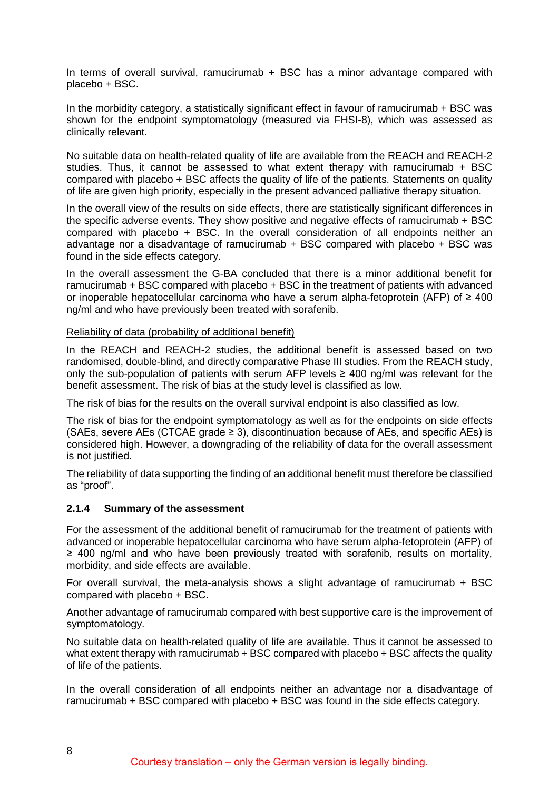In terms of overall survival, ramucirumab + BSC has a minor advantage compared with placebo + BSC.

In the morbidity category, a statistically significant effect in favour of ramucirumab + BSC was shown for the endpoint symptomatology (measured via FHSI-8), which was assessed as clinically relevant.

No suitable data on health-related quality of life are available from the REACH and REACH-2 studies. Thus, it cannot be assessed to what extent therapy with ramucirumab + BSC compared with placebo + BSC affects the quality of life of the patients. Statements on quality of life are given high priority, especially in the present advanced palliative therapy situation.

In the overall view of the results on side effects, there are statistically significant differences in the specific adverse events. They show positive and negative effects of ramucirumab + BSC compared with placebo + BSC. In the overall consideration of all endpoints neither an advantage nor a disadvantage of ramucirumab + BSC compared with placebo + BSC was found in the side effects category.

In the overall assessment the G-BA concluded that there is a minor additional benefit for ramucirumab + BSC compared with placebo + BSC in the treatment of patients with advanced or inoperable hepatocellular carcinoma who have a serum alpha-fetoprotein (AFP) of  $\geq 400$ ng/ml and who have previously been treated with sorafenib.

Reliability of data (probability of additional benefit)

In the REACH and REACH-2 studies, the additional benefit is assessed based on two randomised, double-blind, and directly comparative Phase III studies. From the REACH study, only the sub-population of patients with serum AFP levels  $\geq 400$  ng/ml was relevant for the benefit assessment. The risk of bias at the study level is classified as low.

The risk of bias for the results on the overall survival endpoint is also classified as low.

The risk of bias for the endpoint symptomatology as well as for the endpoints on side effects (SAEs, severe AEs (CTCAE grade  $\geq$  3), discontinuation because of AEs, and specific AEs) is considered high. However, a downgrading of the reliability of data for the overall assessment is not justified.

The reliability of data supporting the finding of an additional benefit must therefore be classified as "proof".

# <span id="page-7-0"></span>**2.1.4 Summary of the assessment**

For the assessment of the additional benefit of ramucirumab for the treatment of patients with advanced or inoperable hepatocellular carcinoma who have serum alpha-fetoprotein (AFP) of ≥ 400 ng/ml and who have been previously treated with sorafenib, results on mortality, morbidity, and side effects are available.

For overall survival, the meta-analysis shows a slight advantage of ramucirumab  $+$  BSC compared with placebo + BSC.

Another advantage of ramucirumab compared with best supportive care is the improvement of symptomatology.

No suitable data on health-related quality of life are available. Thus it cannot be assessed to what extent therapy with ramucirumab + BSC compared with placebo + BSC affects the quality of life of the patients.

In the overall consideration of all endpoints neither an advantage nor a disadvantage of ramucirumab + BSC compared with placebo + BSC was found in the side effects category.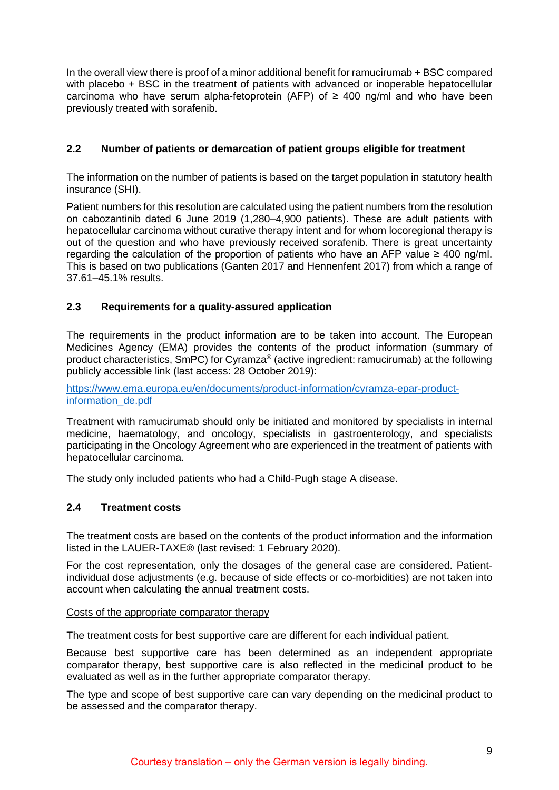In the overall view there is proof of a minor additional benefit for ramucirumab + BSC compared with placebo + BSC in the treatment of patients with advanced or inoperable hepatocellular carcinoma who have serum alpha-fetoprotein (AFP) of  $\geq$  400 ng/ml and who have been previously treated with sorafenib.

# <span id="page-8-0"></span>**2.2 Number of patients or demarcation of patient groups eligible for treatment**

The information on the number of patients is based on the target population in statutory health insurance (SHI).

Patient numbers for this resolution are calculated using the patient numbers from the resolution on cabozantinib dated 6 June 2019 (1,280–4,900 patients). These are adult patients with hepatocellular carcinoma without curative therapy intent and for whom locoregional therapy is out of the question and who have previously received sorafenib. There is great uncertainty regarding the calculation of the proportion of patients who have an AFP value  $\geq 400$  ng/ml. This is based on two publications (Ganten 2017 and Hennenfent 2017) from which a range of 37.61–45.1% results.

# <span id="page-8-1"></span>**2.3 Requirements for a quality-assured application**

The requirements in the product information are to be taken into account. The European Medicines Agency (EMA) provides the contents of the product information (summary of product characteristics, SmPC) for Cyramza® (active ingredient: ramucirumab) at the following publicly accessible link (last access: 28 October 2019):

[https://www.ema.europa.eu/en/documents/product-information/cyramza-epar-product](https://www.ema.europa.eu/en/documents/product-information/cyramza-epar-product-information_de.pdf)[information\\_de.pdf](https://www.ema.europa.eu/en/documents/product-information/cyramza-epar-product-information_de.pdf)

Treatment with ramucirumab should only be initiated and monitored by specialists in internal medicine, haematology, and oncology, specialists in gastroenterology, and specialists participating in the Oncology Agreement who are experienced in the treatment of patients with hepatocellular carcinoma.

The study only included patients who had a Child-Pugh stage A disease.

# <span id="page-8-2"></span>**2.4 Treatment costs**

The treatment costs are based on the contents of the product information and the information listed in the LAUER-TAXE® (last revised: 1 February 2020).

For the cost representation, only the dosages of the general case are considered. Patientindividual dose adjustments (e.g. because of side effects or co-morbidities) are not taken into account when calculating the annual treatment costs.

#### Costs of the appropriate comparator therapy

The treatment costs for best supportive care are different for each individual patient.

Because best supportive care has been determined as an independent appropriate comparator therapy, best supportive care is also reflected in the medicinal product to be evaluated as well as in the further appropriate comparator therapy.

The type and scope of best supportive care can vary depending on the medicinal product to be assessed and the comparator therapy.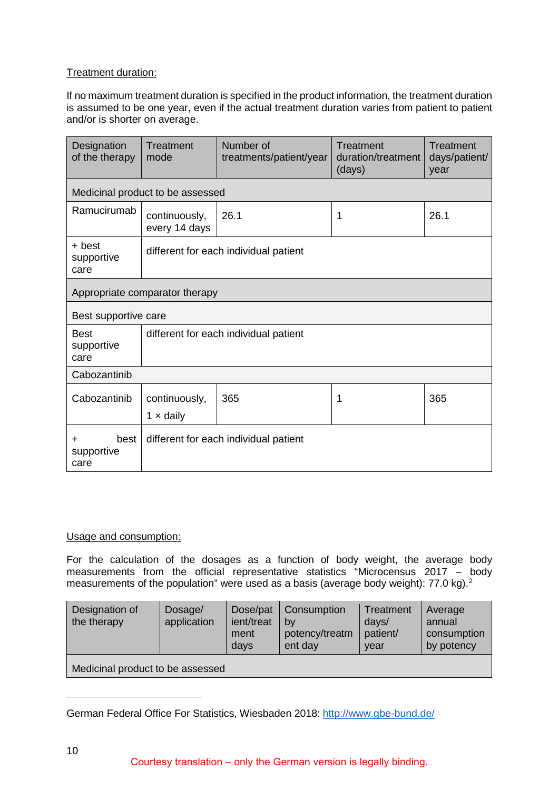# Treatment duration:

If no maximum treatment duration is specified in the product information, the treatment duration is assumed to be one year, even if the actual treatment duration varies from patient to patient and/or is shorter on average.

| Designation<br>of the therapy                                         | Treatment<br>mode                     | Number of<br>treatments/patient/year | Treatment<br>duration/treatment<br>(days) | Treatment<br>days/patient/<br>year |  |
|-----------------------------------------------------------------------|---------------------------------------|--------------------------------------|-------------------------------------------|------------------------------------|--|
|                                                                       | Medicinal product to be assessed      |                                      |                                           |                                    |  |
| Ramucirumab                                                           | continuously,<br>every 14 days        | 26.1                                 | 1                                         | 26.1                               |  |
| + best<br>different for each individual patient<br>supportive<br>care |                                       |                                      |                                           |                                    |  |
| Appropriate comparator therapy                                        |                                       |                                      |                                           |                                    |  |
| Best supportive care                                                  |                                       |                                      |                                           |                                    |  |
| <b>Best</b><br>supportive<br>care                                     | different for each individual patient |                                      |                                           |                                    |  |
| Cabozantinib                                                          |                                       |                                      |                                           |                                    |  |
| Cabozantinib                                                          | continuously,<br>$1 \times$ daily     | 365                                  | 1                                         | 365                                |  |
| best<br>÷<br>supportive<br>care                                       | different for each individual patient |                                      |                                           |                                    |  |

# Usage and consumption:

For the calculation of the dosages as a function of body weight, the average body measurements from the official representative statistics "Microcensus 2017 – body measurements of the population" were used as a basis (average body weight): 77.0 kg).[2](#page-9-0)

| Designation of<br>the therapy    | Dosage/<br>application | Dose/pat<br>ient/treat<br>ment<br>davs | Consumption<br>by<br>potency/treatm<br>ent day | Treatment<br>days/<br>patient/<br>vear | Average<br>annual<br>consumption<br>by potency |  |
|----------------------------------|------------------------|----------------------------------------|------------------------------------------------|----------------------------------------|------------------------------------------------|--|
| Medicinal product to be assessed |                        |                                        |                                                |                                        |                                                |  |

<span id="page-9-0"></span>German Federal Office For Statistics, Wiesbaden 2018: http://www.gbe-bund.de/

-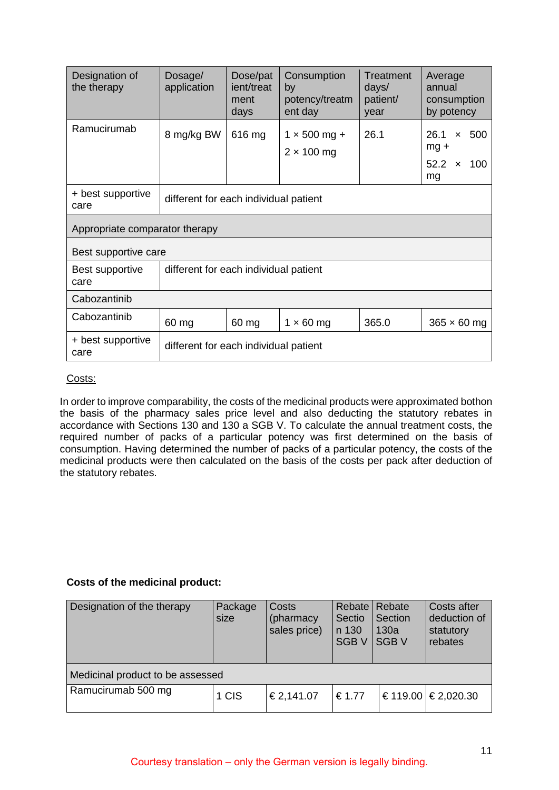| Designation of<br>the therapy  | Dosage/<br>application                | Dose/pat<br>ient/treat<br>ment<br>days | Consumption<br>by<br>potency/treatm<br>ent day | Treatment<br>days/<br>patient/<br>year | Average<br>annual<br>consumption<br>by potency                             |
|--------------------------------|---------------------------------------|----------------------------------------|------------------------------------------------|----------------------------------------|----------------------------------------------------------------------------|
| Ramucirumab                    | 8 mg/kg BW                            | 616 mg                                 | $1 \times 500$ mg +<br>$2 \times 100$ mg       | 26.1                                   | 26.1<br>500<br>$\mathsf{x}$<br>$mg +$<br>52.2<br>100<br>$\mathbf{x}$<br>mg |
| + best supportive<br>care      | different for each individual patient |                                        |                                                |                                        |                                                                            |
| Appropriate comparator therapy |                                       |                                        |                                                |                                        |                                                                            |
| Best supportive care           |                                       |                                        |                                                |                                        |                                                                            |
| Best supportive<br>care        | different for each individual patient |                                        |                                                |                                        |                                                                            |
| Cabozantinib                   |                                       |                                        |                                                |                                        |                                                                            |
| Cabozantinib                   | 60 mg                                 | 60 mg                                  | $1 \times 60$ mg                               | 365.0                                  | $365 \times 60$ mg                                                         |
| + best supportive<br>care      | different for each individual patient |                                        |                                                |                                        |                                                                            |

# Costs:

In order to improve comparability, the costs of the medicinal products were approximated bothon the basis of the pharmacy sales price level and also deducting the statutory rebates in accordance with Sections 130 and 130 a SGB V. To calculate the annual treatment costs, the required number of packs of a particular potency was first determined on the basis of consumption. Having determined the number of packs of a particular potency, the costs of the medicinal products were then calculated on the basis of the costs per pack after deduction of the statutory rebates.

# **Costs of the medicinal product:**

| Designation of the therapy       | Package<br>size | Costs<br>(pharmacy<br>sales price) | Rebate  <br>Sectio<br>n 130<br><b>SGBV</b> | Rebate<br>Section<br>130a<br><b>SGBV</b> | Costs after<br>deduction of<br>statutory<br>rebates |
|----------------------------------|-----------------|------------------------------------|--------------------------------------------|------------------------------------------|-----------------------------------------------------|
| Medicinal product to be assessed |                 |                                    |                                            |                                          |                                                     |
| Ramucirumab 500 mg               | 1 CIS           | €2,141.07                          | €1.77                                      |                                          | €119.00 $\in$ 2,020.30                              |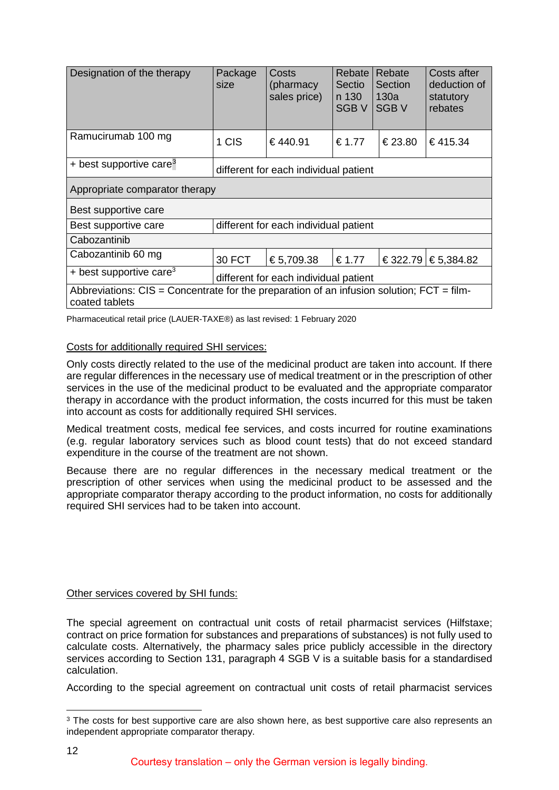| Designation of the therapy                                                                                     | Package<br>size                       | Costs<br>(pharmacy<br>sales price) | Rebate  <br>Sectio<br>n 130<br>SGB <sub>V</sub> | Rebate<br>Section<br>130a<br><b>SGBV</b> | Costs after<br>deduction of<br>statutory<br>rebates |
|----------------------------------------------------------------------------------------------------------------|---------------------------------------|------------------------------------|-------------------------------------------------|------------------------------------------|-----------------------------------------------------|
| Ramucirumab 100 mg                                                                                             | 1 CIS                                 | €440.91                            | € 1.77                                          | €23.80                                   | €415.34                                             |
| + best supportive care <sup>3</sup>                                                                            | different for each individual patient |                                    |                                                 |                                          |                                                     |
| Appropriate comparator therapy                                                                                 |                                       |                                    |                                                 |                                          |                                                     |
| Best supportive care                                                                                           |                                       |                                    |                                                 |                                          |                                                     |
| Best supportive care                                                                                           | different for each individual patient |                                    |                                                 |                                          |                                                     |
| Cabozantinib                                                                                                   |                                       |                                    |                                                 |                                          |                                                     |
| Cabozantinib 60 mg                                                                                             | 30 FCT                                | €5,709.38                          | €1.77                                           | €322.79                                  | €5,384.82                                           |
| + best supportive care <sup>3</sup>                                                                            | different for each individual patient |                                    |                                                 |                                          |                                                     |
| Abbreviations: $CIS =$ Concentrate for the preparation of an infusion solution; $FCT = film$<br>coated tablets |                                       |                                    |                                                 |                                          |                                                     |

Pharmaceutical retail price (LAUER-TAXE®) as last revised: 1 February 2020

#### Costs for additionally required SHI services:

Only costs directly related to the use of the medicinal product are taken into account. If there are regular differences in the necessary use of medical treatment or in the prescription of other services in the use of the medicinal product to be evaluated and the appropriate comparator therapy in accordance with the product information, the costs incurred for this must be taken into account as costs for additionally required SHI services.

Medical treatment costs, medical fee services, and costs incurred for routine examinations (e.g. regular laboratory services such as blood count tests) that do not exceed standard expenditure in the course of the treatment are not shown.

Because there are no regular differences in the necessary medical treatment or the prescription of other services when using the medicinal product to be assessed and the appropriate comparator therapy according to the product information, no costs for additionally required SHI services had to be taken into account.

#### Other services covered by SHI funds:

The special agreement on contractual unit costs of retail pharmacist services (Hilfstaxe; contract on price formation for substances and preparations of substances) is not fully used to calculate costs. Alternatively, the pharmacy sales price publicly accessible in the directory services according to Section 131, paragraph 4 SGB V is a suitable basis for a standardised calculation.

According to the special agreement on contractual unit costs of retail pharmacist services

<span id="page-11-0"></span><sup>&</sup>lt;sup>3</sup> The costs for best supportive care are also shown here, as best supportive care also represents an independent appropriate comparator therapy.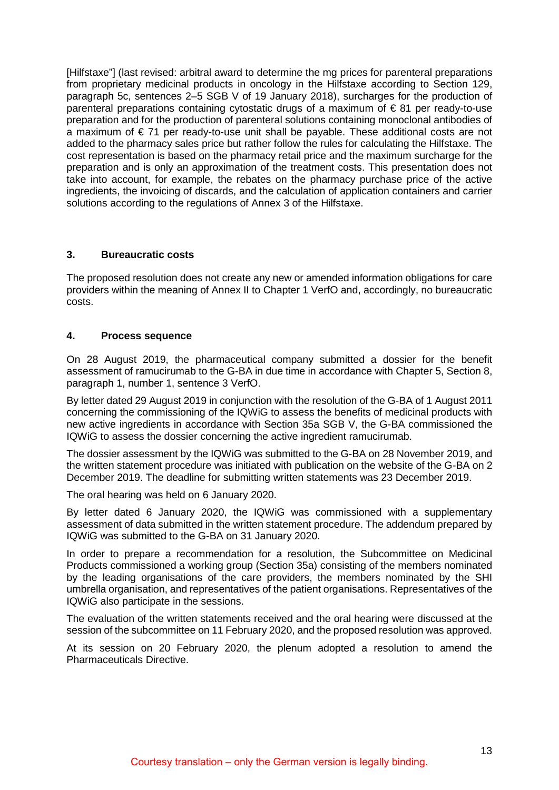[Hilfstaxe"] (last revised: arbitral award to determine the mg prices for parenteral preparations from proprietary medicinal products in oncology in the Hilfstaxe according to Section 129, paragraph 5c, sentences 2–5 SGB V of 19 January 2018), surcharges for the production of parenteral preparations containing cytostatic drugs of a maximum of € 81 per ready-to-use preparation and for the production of parenteral solutions containing monoclonal antibodies of a maximum of  $\epsilon$  71 per ready-to-use unit shall be payable. These additional costs are not added to the pharmacy sales price but rather follow the rules for calculating the Hilfstaxe. The cost representation is based on the pharmacy retail price and the maximum surcharge for the preparation and is only an approximation of the treatment costs. This presentation does not take into account, for example, the rebates on the pharmacy purchase price of the active ingredients, the invoicing of discards, and the calculation of application containers and carrier solutions according to the regulations of Annex 3 of the Hilfstaxe.

# <span id="page-12-0"></span>**3. Bureaucratic costs**

The proposed resolution does not create any new or amended information obligations for care providers within the meaning of Annex II to Chapter 1 VerfO and, accordingly, no bureaucratic costs.

# <span id="page-12-1"></span>**4. Process sequence**

On 28 August 2019, the pharmaceutical company submitted a dossier for the benefit assessment of ramucirumab to the G-BA in due time in accordance with Chapter 5, Section 8, paragraph 1, number 1, sentence 3 VerfO.

By letter dated 29 August 2019 in conjunction with the resolution of the G-BA of 1 August 2011 concerning the commissioning of the IQWiG to assess the benefits of medicinal products with new active ingredients in accordance with Section 35a SGB V, the G-BA commissioned the IQWiG to assess the dossier concerning the active ingredient ramucirumab.

The dossier assessment by the IQWiG was submitted to the G-BA on 28 November 2019, and the written statement procedure was initiated with publication on the website of the G-BA on 2 December 2019. The deadline for submitting written statements was 23 December 2019.

The oral hearing was held on 6 January 2020.

By letter dated 6 January 2020, the IQWiG was commissioned with a supplementary assessment of data submitted in the written statement procedure. The addendum prepared by IQWiG was submitted to the G-BA on 31 January 2020.

In order to prepare a recommendation for a resolution, the Subcommittee on Medicinal Products commissioned a working group (Section 35a) consisting of the members nominated by the leading organisations of the care providers, the members nominated by the SHI umbrella organisation, and representatives of the patient organisations. Representatives of the IQWiG also participate in the sessions.

The evaluation of the written statements received and the oral hearing were discussed at the session of the subcommittee on 11 February 2020, and the proposed resolution was approved.

At its session on 20 February 2020, the plenum adopted a resolution to amend the Pharmaceuticals Directive.